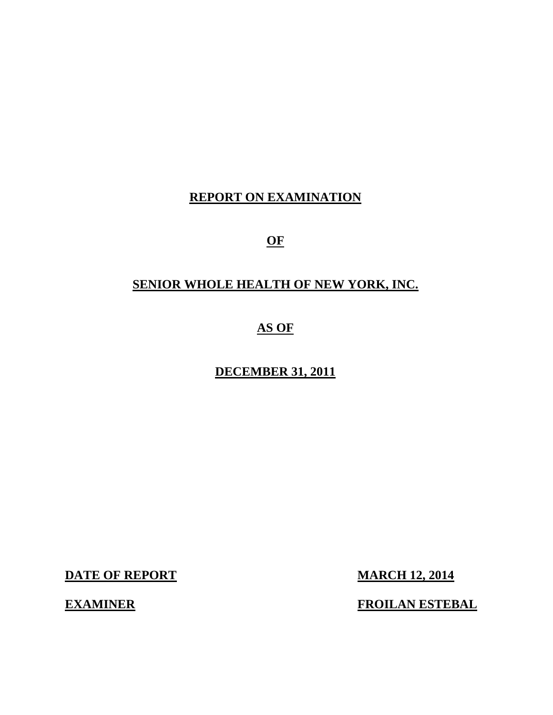# **REPORT ON EXAMINATION**

**OF** 

# **SENIOR WHOLE HEALTH OF NEW YORK, INC.**

**AS OF** 

**DECEMBER 31, 2011** 

**DATE OF REPORT MARCH 12, 2014** 

**EXAMINER FROILAN ESTEBAL**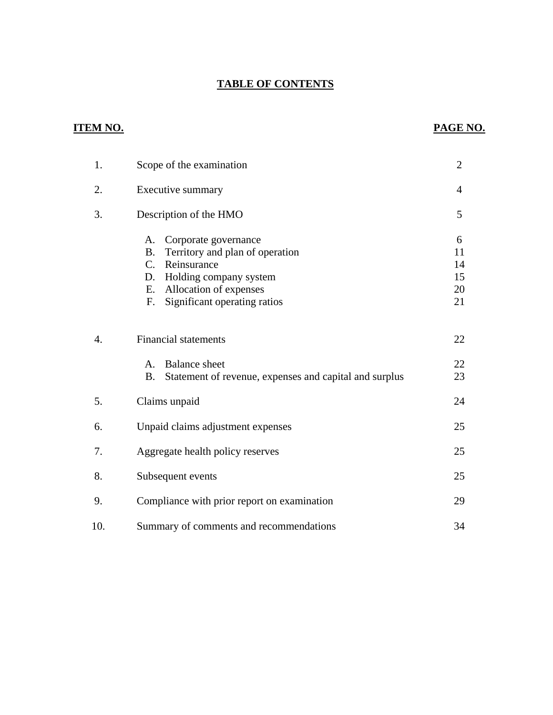### **TABLE OF CONTENTS**

# **ITEM NO. PAGE NO.**

| 1.               | Scope of the examination                                                                                                                                                                                       | $\overline{2}$                  |
|------------------|----------------------------------------------------------------------------------------------------------------------------------------------------------------------------------------------------------------|---------------------------------|
| 2.               | Executive summary                                                                                                                                                                                              | $\overline{4}$                  |
| 3.               | Description of the HMO                                                                                                                                                                                         | 5                               |
|                  | A.<br>Corporate governance<br>Territory and plan of operation<br><b>B.</b><br>$C_{\cdot}$<br>Reinsurance<br>Holding company system<br>D.<br>Allocation of expenses<br>Е.<br>Significant operating ratios<br>F. | 6<br>11<br>14<br>15<br>20<br>21 |
| $\overline{4}$ . | <b>Financial statements</b>                                                                                                                                                                                    | 22                              |
|                  | <b>Balance</b> sheet<br>$\mathsf{A}$ .<br><b>B.</b><br>Statement of revenue, expenses and capital and surplus                                                                                                  | 22<br>23                        |
| 5.               | Claims unpaid                                                                                                                                                                                                  | 24                              |
| 6.               | Unpaid claims adjustment expenses                                                                                                                                                                              | 25                              |
| 7.               | Aggregate health policy reserves                                                                                                                                                                               | 25                              |
| 8.               | Subsequent events                                                                                                                                                                                              | 25                              |
| 9.               | Compliance with prior report on examination                                                                                                                                                                    | 29                              |
| 10.              | Summary of comments and recommendations                                                                                                                                                                        | 34                              |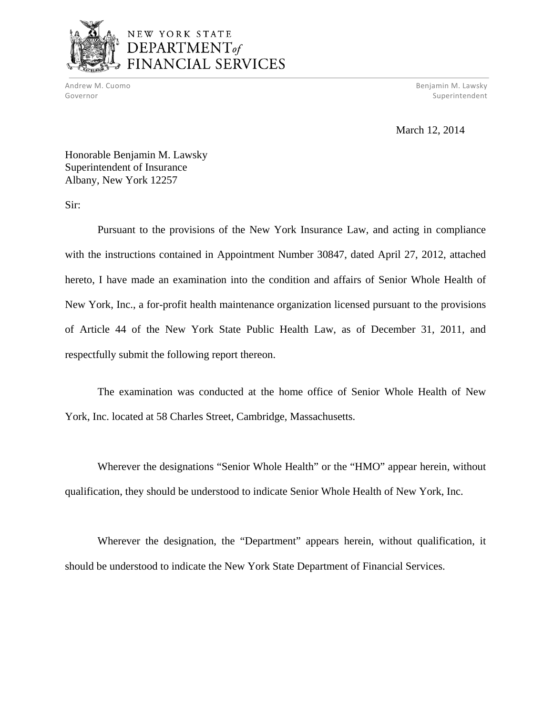

# NEW YORK STATE DEPARTMENT<sub>of</sub> FINANCIAL SERVICES

Andrew M. Cuomo

Benjamin M. Lawsky Governor Superintendent Superintendent Superintendent Superintendent Superintendent Superintendent Superintendent

March 12, 2014

Honorable Benjamin M. Lawsky Superintendent of Insurance Albany, New York 12257

Sir:

Pursuant to the provisions of the New York Insurance Law, and acting in compliance with the instructions contained in Appointment Number 30847, dated April 27, 2012, attached hereto, I have made an examination into the condition and affairs of Senior Whole Health of New York, Inc., a for-profit health maintenance organization licensed pursuant to the provisions of Article 44 of the New York State Public Health Law, as of December 31, 2011, and respectfully submit the following report thereon.

The examination was conducted at the home office of Senior Whole Health of New York, Inc. located at 58 Charles Street, Cambridge, Massachusetts.

Wherever the designations "Senior Whole Health" or the "HMO" appear herein, without qualification, they should be understood to indicate Senior Whole Health of New York, Inc.

Wherever the designation, the "Department" appears herein, without qualification, it should be understood to indicate the New York State Department of Financial Services.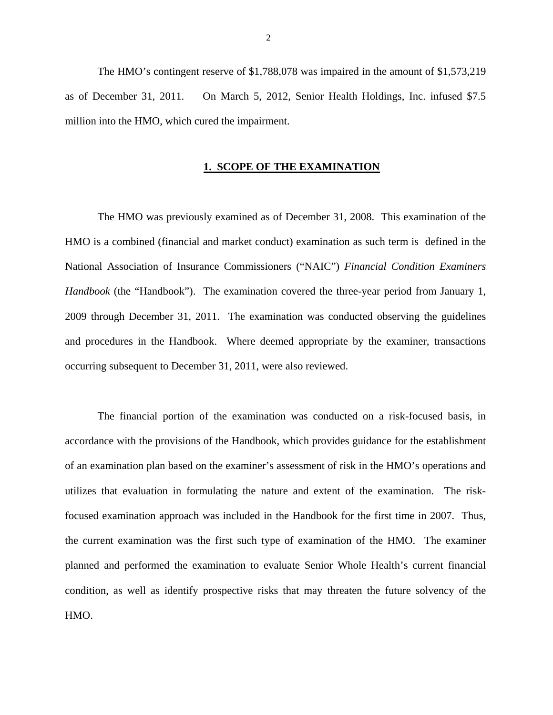The HMO's contingent reserve of \$1,788,078 was impaired in the amount of \$1,573,219 as of December 31, 2011. On March 5, 2012, Senior Health Holdings, Inc. infused \$7.5 million into the HMO, which cured the impairment.

### **1. SCOPE OF THE EXAMINATION**

The HMO was previously examined as of December 31, 2008. This examination of the HMO is a combined (financial and market conduct) examination as such term is defined in the National Association of Insurance Commissioners ("NAIC") *Financial Condition Examiners Handbook* (the "Handbook"). The examination covered the three-year period from January 1, 2009 through December 31, 2011. The examination was conducted observing the guidelines and procedures in the Handbook. Where deemed appropriate by the examiner, transactions occurring subsequent to December 31, 2011, were also reviewed.

The financial portion of the examination was conducted on a risk-focused basis, in accordance with the provisions of the Handbook, which provides guidance for the establishment of an examination plan based on the examiner's assessment of risk in the HMO's operations and utilizes that evaluation in formulating the nature and extent of the examination. The riskfocused examination approach was included in the Handbook for the first time in 2007. Thus, the current examination was the first such type of examination of the HMO. The examiner planned and performed the examination to evaluate Senior Whole Health's current financial condition, as well as identify prospective risks that may threaten the future solvency of the HMO.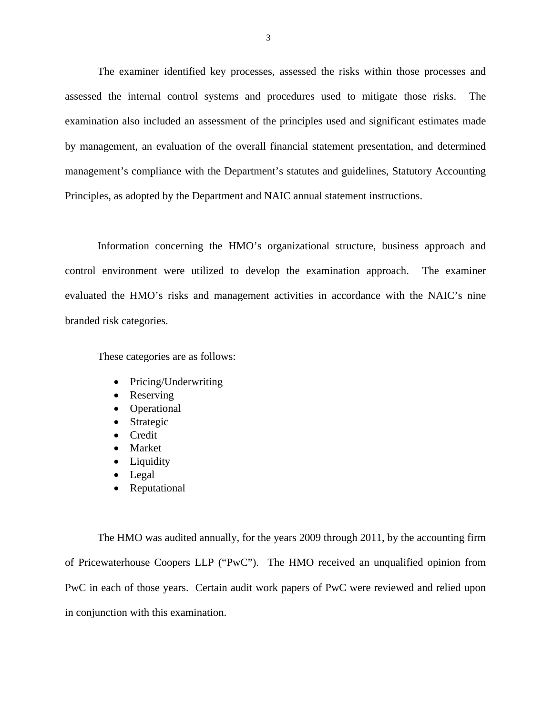The examiner identified key processes, assessed the risks within those processes and assessed the internal control systems and procedures used to mitigate those risks. The examination also included an assessment of the principles used and significant estimates made by management, an evaluation of the overall financial statement presentation, and determined management's compliance with the Department's statutes and guidelines, Statutory Accounting Principles, as adopted by the Department and NAIC annual statement instructions.

Information concerning the HMO's organizational structure, business approach and control environment were utilized to develop the examination approach. The examiner evaluated the HMO's risks and management activities in accordance with the NAIC's nine branded risk categories.

These categories are as follows:

- Pricing/Underwriting
- Reserving
- Operational
- Strategic
- Credit
- Market
- Liquidity
- Legal
- Reputational

The HMO was audited annually, for the years 2009 through 2011, by the accounting firm of Pricewaterhouse Coopers LLP ("PwC"). The HMO received an unqualified opinion from PwC in each of those years. Certain audit work papers of PwC were reviewed and relied upon in conjunction with this examination.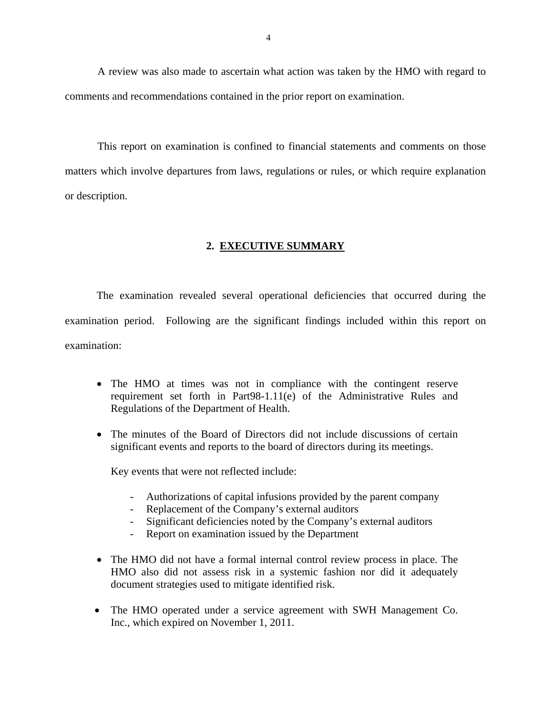<span id="page-5-0"></span>A review was also made to ascertain what action was taken by the HMO with regard to comments and recommendations contained in the prior report on examination.

This report on examination is confined to financial statements and comments on those matters which involve departures from laws, regulations or rules, or which require explanation or description.

### **2. EXECUTIVE SUMMARY**

The examination revealed several operational deficiencies that occurred during the examination period. Following are the significant findings included within this report on examination:

- The HMO at times was not in compliance with the contingent reserve requirement set forth in Part98-1.11(e) of the Administrative Rules and Regulations of the Department of Health.
- The minutes of the Board of Directors did not include discussions of certain significant events and reports to the board of directors during its meetings.

Key events that were not reflected include:

- Authorizations of capital infusions provided by the parent company
- Replacement of the Company's external auditors
- Significant deficiencies noted by the Company's external auditors
- Report on examination issued by the Department
- The HMO did not have a formal internal control review process in place. The HMO also did not assess risk in a systemic fashion nor did it adequately document strategies used to mitigate identified risk.
- The HMO operated under a service agreement with SWH Management Co. Inc., which expired on November 1, 2011.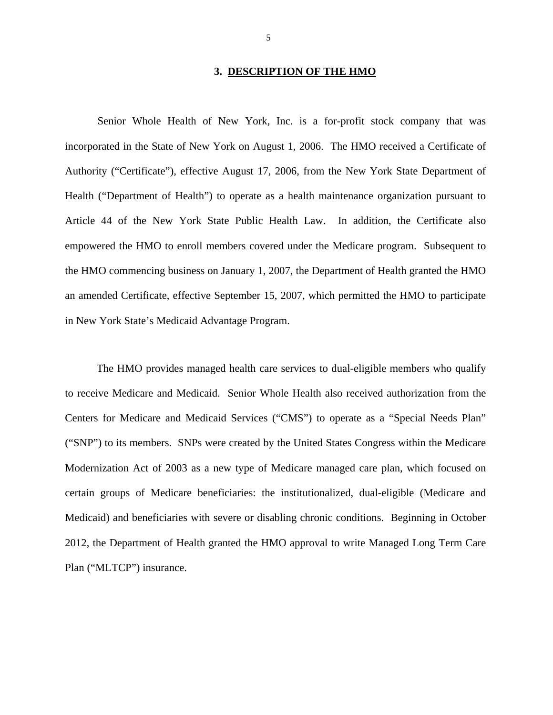### **3. DESCRIPTION OF THE HMO**

<span id="page-6-0"></span>Senior Whole Health of New York, Inc. is a for-profit stock company that was incorporated in the State of New York on August 1, 2006. The HMO received a Certificate of Authority ("Certificate"), effective August 17, 2006, from the New York State Department of Health ("Department of Health") to operate as a health maintenance organization pursuant to Article 44 of the New York State Public Health Law. In addition, the Certificate also empowered the HMO to enroll members covered under the Medicare program. Subsequent to the HMO commencing business on January 1, 2007, the Department of Health granted the HMO an amended Certificate, effective September 15, 2007, which permitted the HMO to participate in New York State's Medicaid Advantage Program.

The HMO provides managed health care services to dual-eligible members who qualify to receive Medicare and Medicaid. Senior Whole Health also received authorization from the Centers for Medicare and Medicaid Services ("CMS") to operate as a "Special Needs Plan" ("SNP") to its members. SNPs were created by the United States Congress within the Medicare Modernization Act of 2003 as a new type of Medicare managed care plan, which focused on certain groups of Medicare beneficiaries: the institutionalized, dual-eligible (Medicare and Medicaid) and beneficiaries with severe or disabling chronic conditions. Beginning in October 2012, the Department of Health granted the HMO approval to write Managed Long Term Care Plan ("MLTCP") insurance.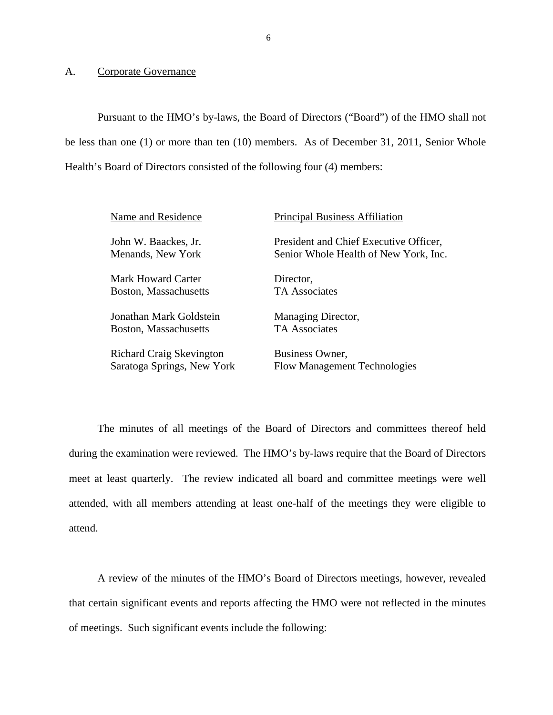### <span id="page-7-0"></span>A. Corporate Governance

Pursuant to the HMO's by-laws, the Board of Directors ("Board") of the HMO shall not be less than one (1) or more than ten (10) members. As of December 31, 2011, Senior Whole Health's Board of Directors consisted of the following four (4) members:

| Name and Residence              | <b>Principal Business Affiliation</b>  |
|---------------------------------|----------------------------------------|
| John W. Baackes, Jr.            | President and Chief Executive Officer, |
| Menands, New York               | Senior Whole Health of New York, Inc.  |
| Mark Howard Carter              | Director,                              |
| Boston, Massachusetts           | <b>TA</b> Associates                   |
| Jonathan Mark Goldstein         | Managing Director,                     |
| Boston, Massachusetts           | <b>TA Associates</b>                   |
| <b>Richard Craig Skevington</b> | Business Owner,                        |
| Saratoga Springs, New York      | <b>Flow Management Technologies</b>    |

The minutes of all meetings of the Board of Directors and committees thereof held during the examination were reviewed. The HMO's by-laws require that the Board of Directors meet at least quarterly. The review indicated all board and committee meetings were well attended, with all members attending at least one-half of the meetings they were eligible to attend.

A review of the minutes of the HMO's Board of Directors meetings, however, revealed that certain significant events and reports affecting the HMO were not reflected in the minutes of meetings. Such significant events include the following: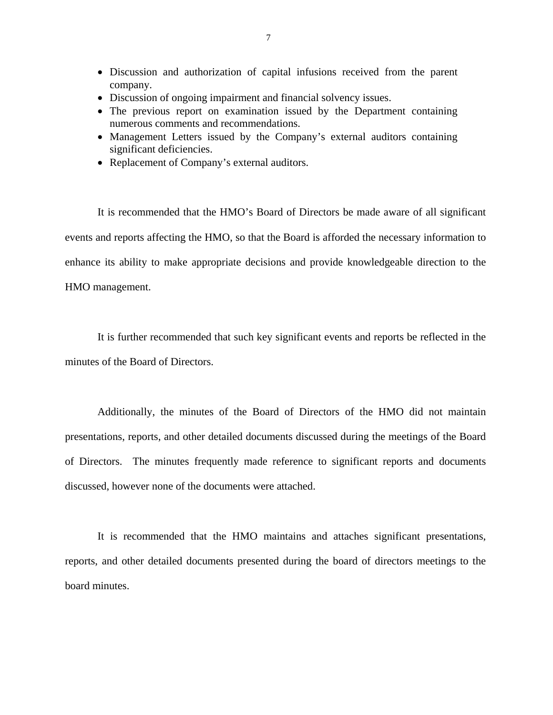- Discussion and authorization of capital infusions received from the parent company.
- Discussion of ongoing impairment and financial solvency issues.
- The previous report on examination issued by the Department containing numerous comments and recommendations.
- Management Letters issued by the Company's external auditors containing significant deficiencies.
- Replacement of Company's external auditors.

It is recommended that the HMO's Board of Directors be made aware of all significant events and reports affecting the HMO, so that the Board is afforded the necessary information to enhance its ability to make appropriate decisions and provide knowledgeable direction to the HMO management.

It is further recommended that such key significant events and reports be reflected in the minutes of the Board of Directors.

Additionally, the minutes of the Board of Directors of the HMO did not maintain presentations, reports, and other detailed documents discussed during the meetings of the Board of Directors. The minutes frequently made reference to significant reports and documents discussed, however none of the documents were attached.

It is recommended that the HMO maintains and attaches significant presentations, reports, and other detailed documents presented during the board of directors meetings to the board minutes.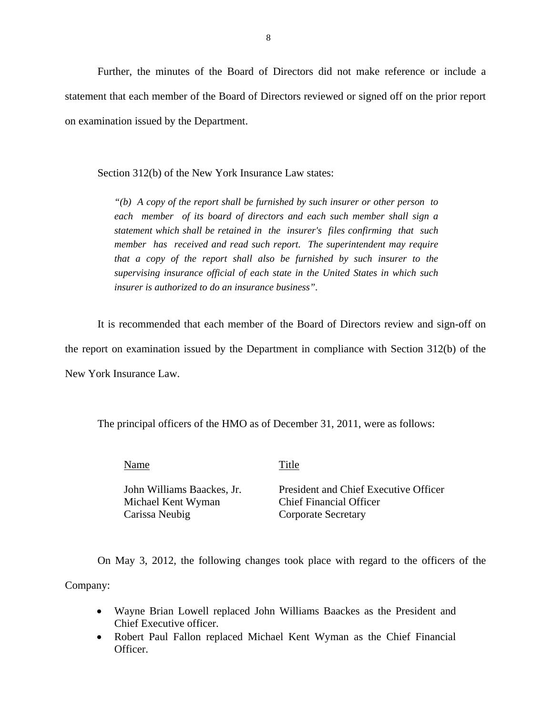Further, the minutes of the Board of Directors did not make reference or include a statement that each member of the Board of Directors reviewed or signed off on the prior report on examination issued by the Department.

Section 312(b) of the New York Insurance Law states:

*statement which shall be retained in the insurer's files confirming that such "(b) A copy of the report shall be furnished by such insurer or other person to each member of its board of directors and each such member shall sign a statement which shall be retained in the insurer's files confirming that such member has received and read such report. The superintendent may require that a copy of the report shall also be furnished by such insurer to the supervising insurance official of each state in the United States in which such insurer is authorized to do an insurance business".* 

It is recommended that each member of the Board of Directors review and sign-off on the report on examination issued by the Department in compliance with Section 312(b) of the New York Insurance Law.

The principal officers of the HMO as of December 31, 2011, were as follows:

Name Title

Michael Kent Wyman Chief Financial Officer Carissa Neubig Corporate Secretary

John Williams Baackes, Jr. President and Chief Executive Officer

On May 3, 2012, the following changes took place with regard to the officers of the Company:

- Wayne Brian Lowell replaced John Williams Baackes as the President and Chief Executive officer.
- Robert Paul Fallon replaced Michael Kent Wyman as the Chief Financial Officer.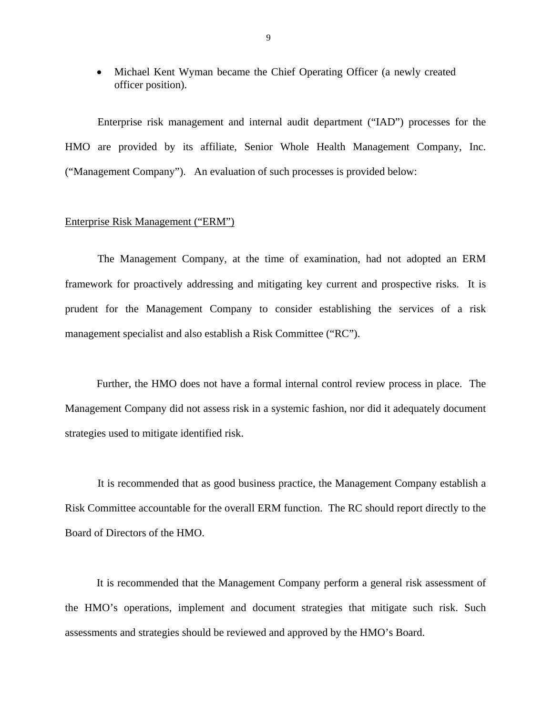• Michael Kent Wyman became the Chief Operating Officer (a newly created officer position).

Enterprise risk management and internal audit department ("IAD") processes for the HMO are provided by its affiliate, Senior Whole Health Management Company, Inc. ("Management Company"). An evaluation of such processes is provided below:

### Enterprise Risk Management ("ERM")

The Management Company, at the time of examination, had not adopted an ERM framework for proactively addressing and mitigating key current and prospective risks. It is prudent for the Management Company to consider establishing the services of a risk management specialist and also establish a Risk Committee ("RC").

Further, the HMO does not have a formal internal control review process in place. The Management Company did not assess risk in a systemic fashion, nor did it adequately document strategies used to mitigate identified risk.

 Risk Committee accountable for the overall ERM function. The RC should report directly to the It is recommended that as good business practice, the Management Company establish a Board of Directors of the HMO.

It is recommended that the Management Company perform a general risk assessment of the HMO's operations, implement and document strategies that mitigate such risk. Such assessments and strategies should be reviewed and approved by the HMO's Board.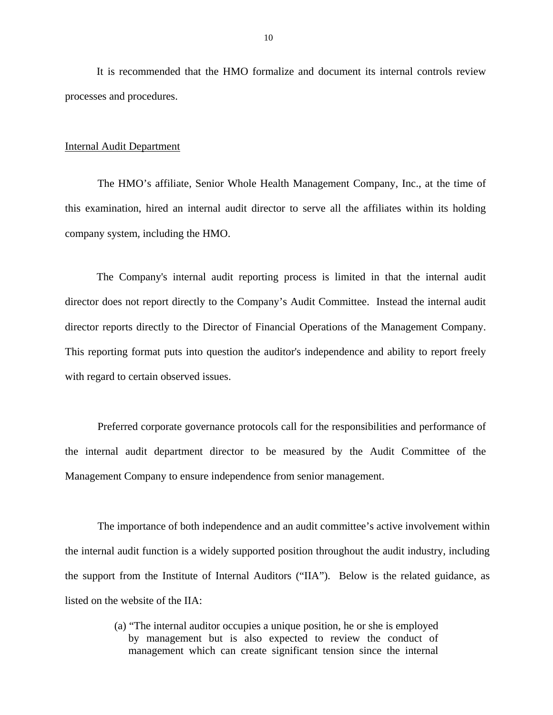It is recommended that the HMO formalize and document its internal controls review processes and procedures.

### Internal Audit Department

The HMO's affiliate, Senior Whole Health Management Company, Inc., at the time of this examination, hired an internal audit director to serve all the affiliates within its holding company system, including the HMO.

The Company's internal audit reporting process is limited in that the internal audit director does not report directly to the Company's Audit Committee. Instead the internal audit director reports directly to the Director of Financial Operations of the Management Company. This reporting format puts into question the auditor's independence and ability to report freely with regard to certain observed issues.

Preferred corporate governance protocols call for the responsibilities and performance of the internal audit department director to be measured by the Audit Committee of the Management Company to ensure independence from senior management.

The importance of both independence and an audit committee's active involvement within the internal audit function is a widely supported position throughout the audit industry, including the support from the Institute of Internal Auditors ("IIA"). Below is the related guidance, as listed on the website of the IIA:

> (a) "The internal auditor occupies a unique position, he or she is employed by management but is also expected to review the conduct of management which can create significant tension since the internal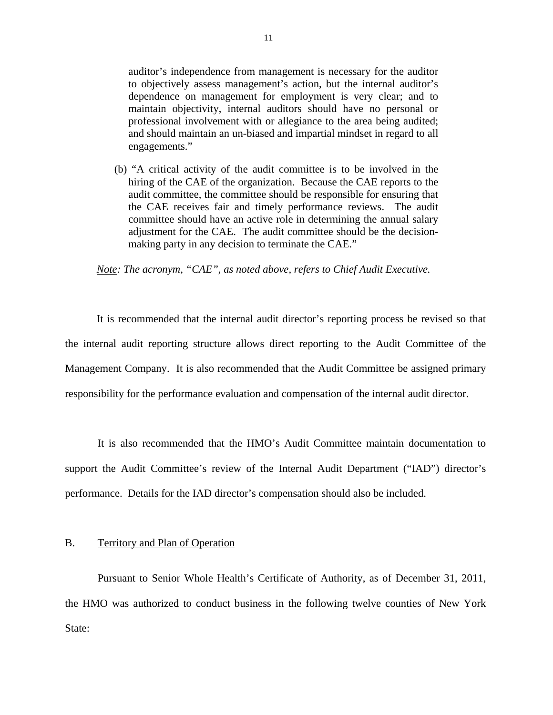<span id="page-12-0"></span>auditor's independence from management is necessary for the auditor to objectively assess management's action, but the internal auditor's dependence on management for employment is very clear; and to maintain objectivity, internal auditors should have no personal or professional involvement with or allegiance to the area being audited; and should maintain an un-biased and impartial mindset in regard to all engagements."

(b) "A critical activity of the audit committee is to be involved in the hiring of the CAE of the organization. Because the CAE reports to the audit committee, the committee should be responsible for ensuring that the CAE receives fair and timely performance reviews. The audit committee should have an active role in determining the annual salary adjustment for the CAE. The audit committee should be the decisionmaking party in any decision to terminate the CAE."

*Note: The acronym, "CAE", as noted above, refers to Chief Audit Executive.* 

It is recommended that the internal audit director's reporting process be revised so that the internal audit reporting structure allows direct reporting to the Audit Committee of the Management Company. It is also recommended that the Audit Committee be assigned primary responsibility for the performance evaluation and compensation of the internal audit director.

It is also recommended that the HMO's Audit Committee maintain documentation to support the Audit Committee's review of the Internal Audit Department ("IAD") director's performance. Details for the IAD director's compensation should also be included.

### B. Territory and Plan of Operation

Pursuant to Senior Whole Health's Certificate of Authority, as of December 31, 2011, the HMO was authorized to conduct business in the following twelve counties of New York State: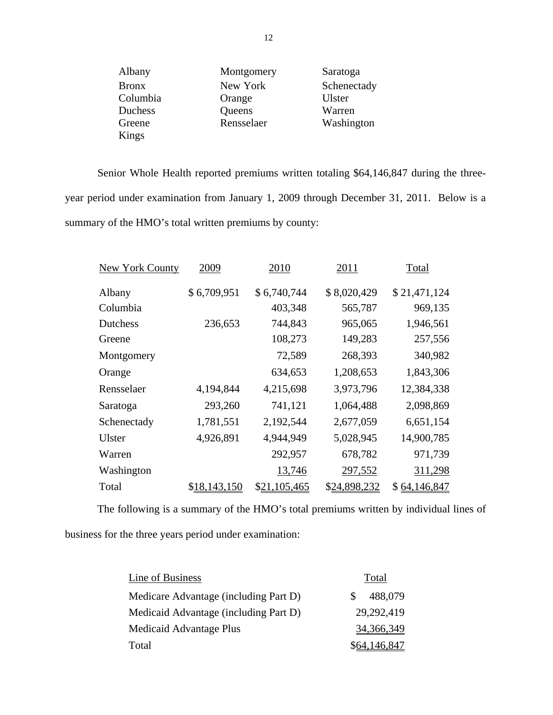|                | 12         |             |  |
|----------------|------------|-------------|--|
| Albany         | Montgomery | Saratoga    |  |
| <b>Bronx</b>   | New York   | Schenectady |  |
| Columbia       | Orange     | Ulster      |  |
| <b>Duchess</b> | Queens     | Warren      |  |
| Greene         | Rensselaer | Washington  |  |
| Kings          |            |             |  |

Senior Whole Health reported premiums written totaling \$64,146,847 during the threeyear period under examination from January 1, 2009 through December 31, 2011. Below is a summary of the HMO's total written premiums by county:

| New York County | 2009         | 2010         | 2011         | Total        |
|-----------------|--------------|--------------|--------------|--------------|
| Albany          | \$6,709,951  | \$6,740,744  | \$8,020,429  | \$21,471,124 |
| Columbia        |              | 403,348      | 565,787      | 969,135      |
| Dutchess        | 236,653      | 744,843      | 965,065      | 1,946,561    |
| Greene          |              | 108,273      | 149,283      | 257,556      |
| Montgomery      |              | 72,589       | 268,393      | 340,982      |
| Orange          |              | 634,653      | 1,208,653    | 1,843,306    |
| Rensselaer      | 4,194,844    | 4,215,698    | 3,973,796    | 12,384,338   |
| Saratoga        | 293,260      | 741,121      | 1,064,488    | 2,098,869    |
| Schenectady     | 1,781,551    | 2,192,544    | 2,677,059    | 6,651,154    |
| Ulster          | 4,926,891    | 4,944,949    | 5,028,945    | 14,900,785   |
| Warren          |              | 292,957      | 678,782      | 971,739      |
| Washington      |              | 13,746       | 297,552      | 311,298      |
| Total           | \$18,143,150 | \$21,105,465 | \$24,898,232 | \$64,146,847 |

The following is a summary of the HMO's total premiums written by individual lines of business for the three years period under examination:

| Line of Business                      | Total                    |
|---------------------------------------|--------------------------|
| Medicare Advantage (including Part D) | 488,079<br><sup>\$</sup> |
| Medicaid Advantage (including Part D) | 29,292,419               |
| Medicaid Advantage Plus               | 34,366,349               |
| Total                                 | \$64,146,847             |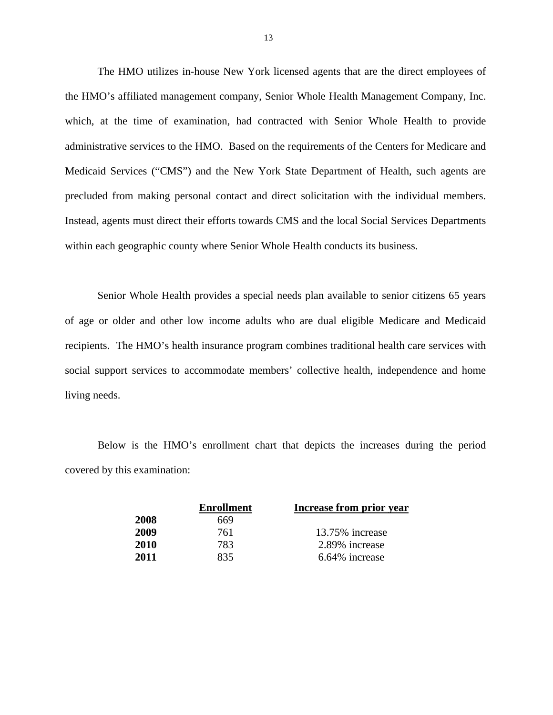The HMO utilizes in-house New York licensed agents that are the direct employees of the HMO's affiliated management company, Senior Whole Health Management Company, Inc. which, at the time of examination, had contracted with Senior Whole Health to provide administrative services to the HMO. Based on the requirements of the Centers for Medicare and Medicaid Services ("CMS") and the New York State Department of Health, such agents are precluded from making personal contact and direct solicitation with the individual members. Instead, agents must direct their efforts towards CMS and the local Social Services Departments within each geographic county where Senior Whole Health conducts its business.

Senior Whole Health provides a special needs plan available to senior citizens 65 years of age or older and other low income adults who are dual eligible Medicare and Medicaid recipients. The HMO's health insurance program combines traditional health care services with social support services to accommodate members' collective health, independence and home living needs.

Below is the HMO's enrollment chart that depicts the increases during the period covered by this examination:

| <b>Enrollment</b> | Increase from prior year |
|-------------------|--------------------------|
| 669               |                          |
| 761               | 13.75% increase          |
| 783               | 2.89% increase           |
| 835               | 6.64% increase           |
|                   |                          |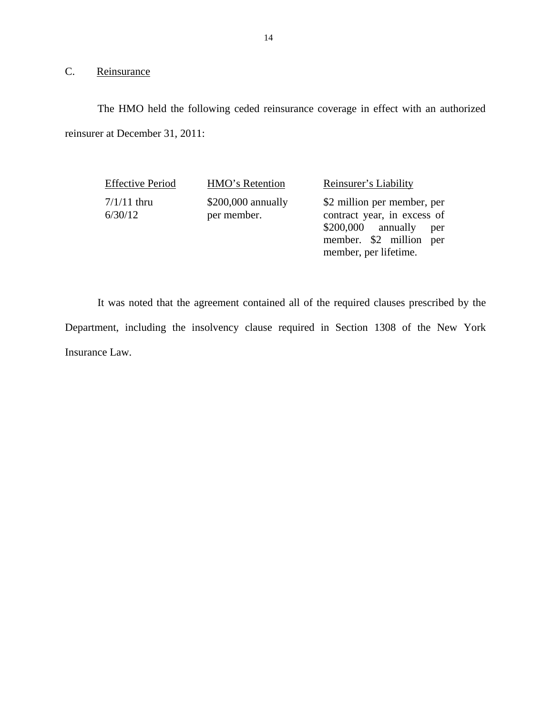# 14<br>C. <u>Reinsurance</u>

The HMO held the following ceded reinsurance coverage in effect with an authorized reinsurer at December 31, 2011:

Effective Period HMO's Retention Reinsurer's Liability 7/1/11 thru 6/30/12

\$200,000 annually per member.

\$2 million per member, per contract year, in excess of \$200,000 annually per member. \$2 million per member, per lifetime.

It was noted that the agreement contained all of the required clauses prescribed by the Department, including the insolvency clause required in Section 1308 of the New York Insurance Law.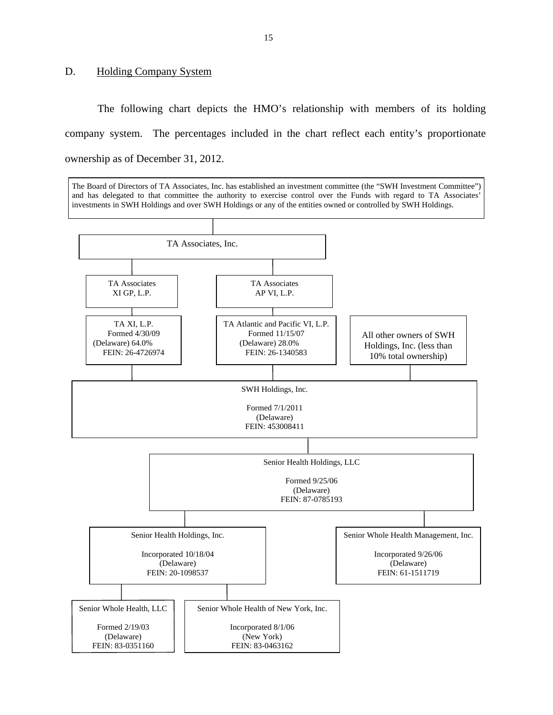### <span id="page-16-0"></span>D. Holding Company System

The following chart depicts the HMO's relationship with members of its holding company system. The percentages included in the chart reflect each entity's proportionate ownership as of December 31, 2012.

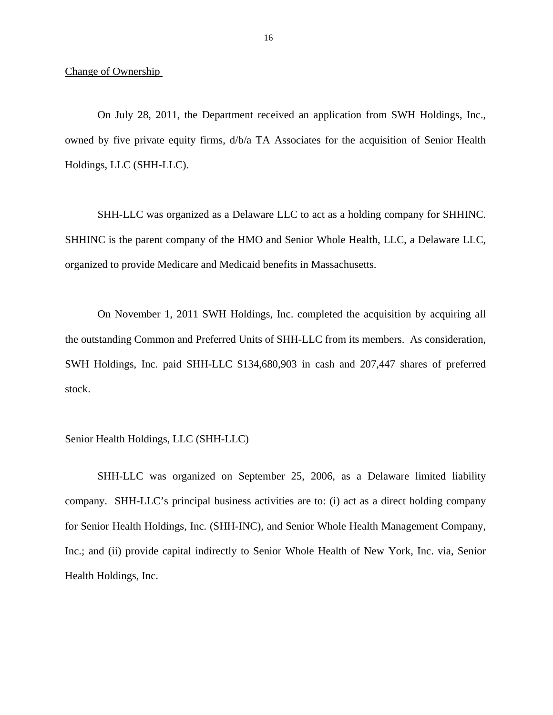Change of Ownership

On July 28, 2011, the Department received an application from SWH Holdings, Inc., owned by five private equity firms, d/b/a TA Associates for the acquisition of Senior Health Holdings, LLC (SHH-LLC).

SHH-LLC was organized as a Delaware LLC to act as a holding company for SHHINC. SHHINC is the parent company of the HMO and Senior Whole Health, LLC, a Delaware LLC, organized to provide Medicare and Medicaid benefits in Massachusetts.

On November 1, 2011 SWH Holdings, Inc. completed the acquisition by acquiring all the outstanding Common and Preferred Units of SHH-LLC from its members. As consideration, SWH Holdings, Inc. paid SHH-LLC \$134,680,903 in cash and 207,447 shares of preferred stock.

### Senior Health Holdings, LLC (SHH-LLC)

SHH-LLC was organized on September 25, 2006, as a Delaware limited liability company. SHH-LLC's principal business activities are to: (i) act as a direct holding company for Senior Health Holdings, Inc. (SHH-INC), and Senior Whole Health Management Company, Inc.; and (ii) provide capital indirectly to Senior Whole Health of New York, Inc. via, Senior Health Holdings, Inc.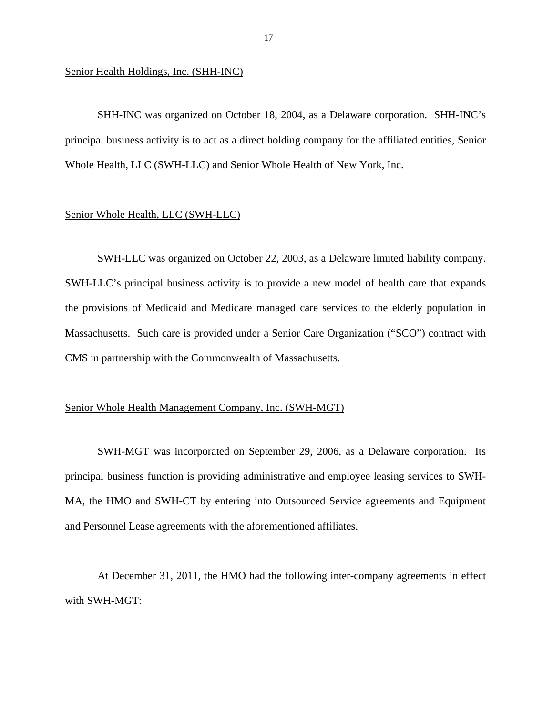Senior Health Holdings, Inc. (SHH-INC)

SHH-INC was organized on October 18, 2004, as a Delaware corporation. SHH-INC's principal business activity is to act as a direct holding company for the affiliated entities, Senior Whole Health, LLC (SWH-LLC) and Senior Whole Health of New York, Inc.

### Senior Whole Health, LLC (SWH-LLC)

SWH-LLC was organized on October 22, 2003, as a Delaware limited liability company. SWH-LLC's principal business activity is to provide a new model of health care that expands the provisions of Medicaid and Medicare managed care services to the elderly population in Massachusetts. Such care is provided under a Senior Care Organization ("SCO") contract with CMS in partnership with the Commonwealth of Massachusetts.

### Senior Whole Health Management Company, Inc. (SWH-MGT)

SWH-MGT was incorporated on September 29, 2006, as a Delaware corporation. Its principal business function is providing administrative and employee leasing services to SWH-MA, the HMO and SWH-CT by entering into Outsourced Service agreements and Equipment and Personnel Lease agreements with the aforementioned affiliates.

At December 31, 2011, the HMO had the following inter-company agreements in effect with SWH-MGT: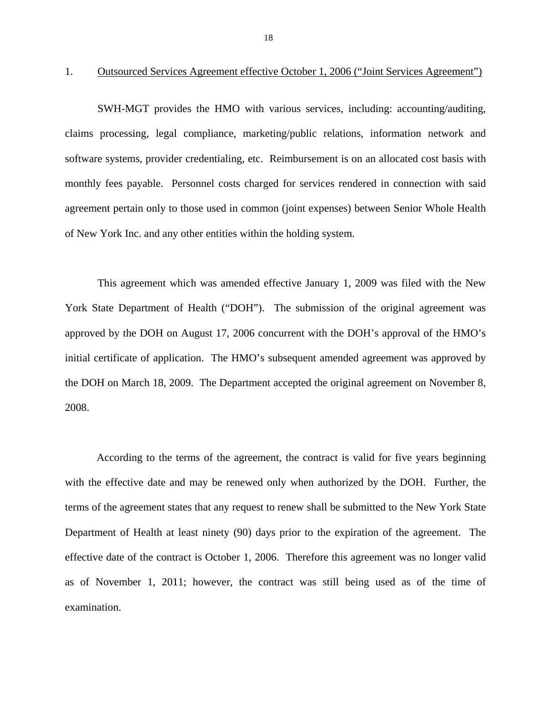### 1. Outsourced Services Agreement effective October 1, 2006 ("Joint Services Agreement")

SWH-MGT provides the HMO with various services, including: accounting/auditing, claims processing, legal compliance, marketing/public relations, information network and software systems, provider credentialing, etc. Reimbursement is on an allocated cost basis with monthly fees payable. Personnel costs charged for services rendered in connection with said agreement pertain only to those used in common (joint expenses) between Senior Whole Health of New York Inc. and any other entities within the holding system.

This agreement which was amended effective January 1, 2009 was filed with the New York State Department of Health ("DOH"). The submission of the original agreement was approved by the DOH on August 17, 2006 concurrent with the DOH's approval of the HMO's initial certificate of application. The HMO's subsequent amended agreement was approved by the DOH on March 18, 2009. The Department accepted the original agreement on November 8, 2008.

According to the terms of the agreement, the contract is valid for five years beginning with the effective date and may be renewed only when authorized by the DOH. Further, the terms of the agreement states that any request to renew shall be submitted to the New York State Department of Health at least ninety (90) days prior to the expiration of the agreement. The effective date of the contract is October 1, 2006. Therefore this agreement was no longer valid as of November 1, 2011; however, the contract was still being used as of the time of examination.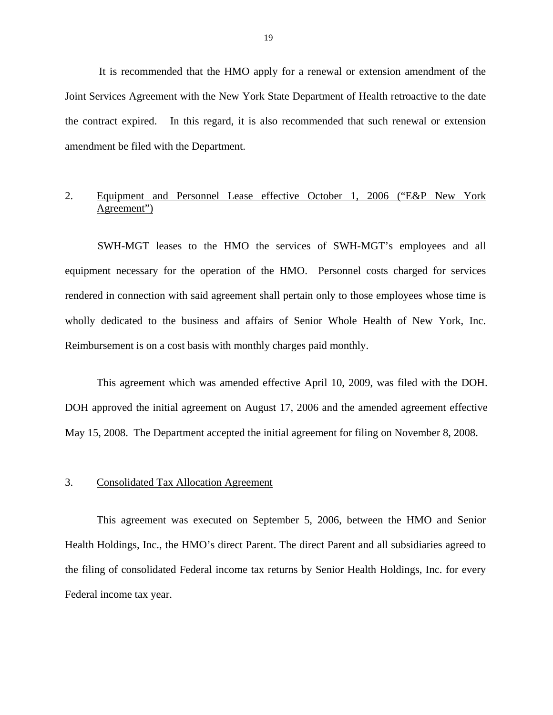It is recommended that the HMO apply for a renewal or extension amendment of the Joint Services Agreement with the New York State Department of Health retroactive to the date the contract expired. In this regard, it is also recommended that such renewal or extension amendment be filed with the Department.

### 2. Equipment and Personnel Lease effective October 1, 2006 ("E&P New York Agreement")

SWH-MGT leases to the HMO the services of SWH-MGT's employees and all equipment necessary for the operation of the HMO. Personnel costs charged for services rendered in connection with said agreement shall pertain only to those employees whose time is wholly dedicated to the business and affairs of Senior Whole Health of New York, Inc. Reimbursement is on a cost basis with monthly charges paid monthly.

This agreement which was amended effective April 10, 2009, was filed with the DOH. DOH approved the initial agreement on August 17, 2006 and the amended agreement effective May 15, 2008. The Department accepted the initial agreement for filing on November 8, 2008.

### 3. Consolidated Tax Allocation Agreement

This agreement was executed on September 5, 2006, between the HMO and Senior Health Holdings, Inc., the HMO's direct Parent. The direct Parent and all subsidiaries agreed to the filing of consolidated Federal income tax returns by Senior Health Holdings, Inc. for every Federal income tax year.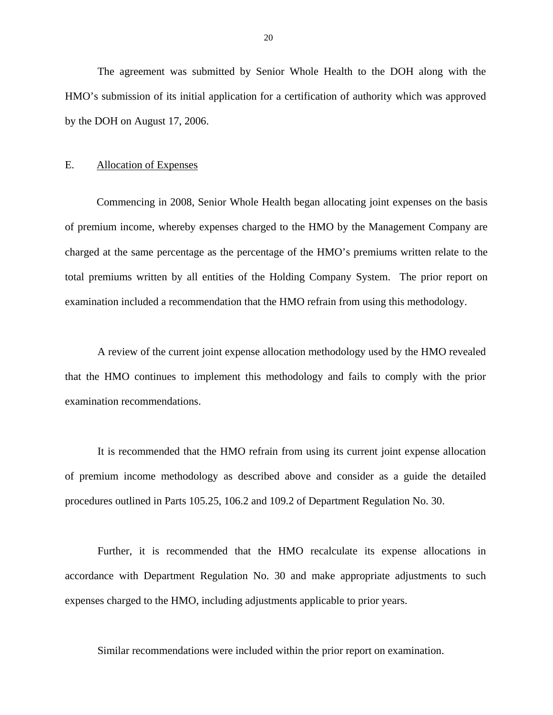<span id="page-21-0"></span>The agreement was submitted by Senior Whole Health to the DOH along with the HMO's submission of its initial application for a certification of authority which was approved by the DOH on August 17, 2006.

### E. Allocation of Expenses

Commencing in 2008, Senior Whole Health began allocating joint expenses on the basis of premium income, whereby expenses charged to the HMO by the Management Company are charged at the same percentage as the percentage of the HMO's premiums written relate to the total premiums written by all entities of the Holding Company System. The prior report on examination included a recommendation that the HMO refrain from using this methodology.

A review of the current joint expense allocation methodology used by the HMO revealed that the HMO continues to implement this methodology and fails to comply with the prior examination recommendations.

It is recommended that the HMO refrain from using its current joint expense allocation of premium income methodology as described above and consider as a guide the detailed procedures outlined in Parts 105.25, 106.2 and 109.2 of Department Regulation No. 30.

Further, it is recommended that the HMO recalculate its expense allocations in accordance with Department Regulation No. 30 and make appropriate adjustments to such expenses charged to the HMO, including adjustments applicable to prior years.

Similar recommendations were included within the prior report on examination.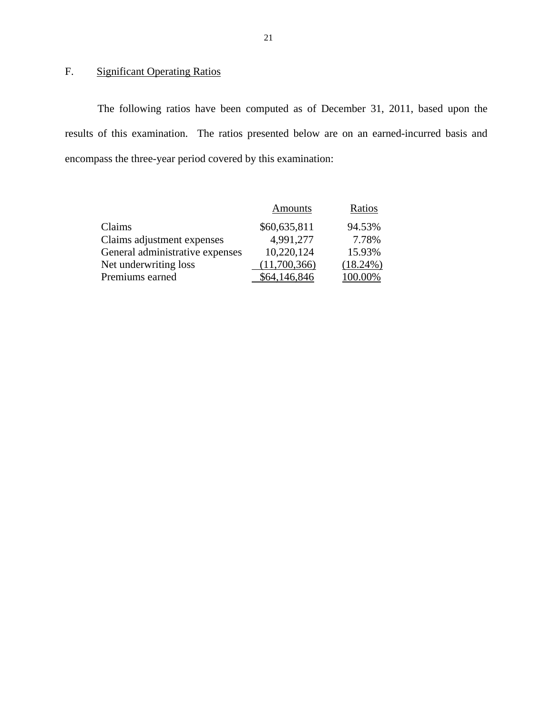# F. Significant Operating Ratios

The following ratios have been computed as of December 31, 2011, based upon the results of this examination. The ratios presented below are on an earned-incurred basis and encompass the three-year period covered by this examination:

|                                 | <b>Amounts</b> | Ratios      |
|---------------------------------|----------------|-------------|
| Claims                          | \$60,635,811   | 94.53%      |
| Claims adjustment expenses      | 4,991,277      | 7.78%       |
| General administrative expenses | 10,220,124     | 15.93%      |
| Net underwriting loss           | (11,700,366)   | $(18.24\%)$ |
| Premiums earned                 | \$64,146,846   | 100.00%     |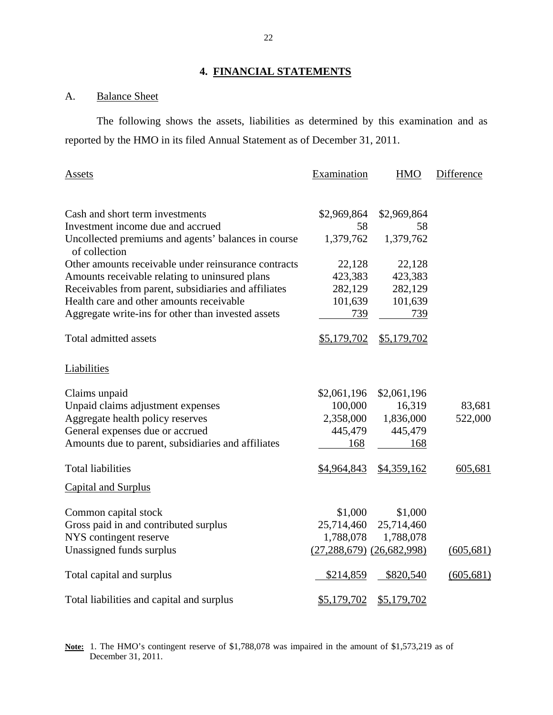### **4. FINANCIAL STATEMENTS**

## A. Balance Sheet

The following shows the assets, liabilities as determined by this examination and as reported by the HMO in its filed Annual Statement as of December 31, 2011.

| Assets                                                               | Examination                       | <b>HMO</b>  | Difference |
|----------------------------------------------------------------------|-----------------------------------|-------------|------------|
|                                                                      |                                   |             |            |
| Cash and short term investments                                      | \$2,969,864                       | \$2,969,864 |            |
| Investment income due and accrued                                    | 58                                | 58          |            |
| Uncollected premiums and agents' balances in course<br>of collection | 1,379,762                         | 1,379,762   |            |
| Other amounts receivable under reinsurance contracts                 | 22,128                            | 22,128      |            |
| Amounts receivable relating to uninsured plans                       | 423,383                           | 423,383     |            |
| Receivables from parent, subsidiaries and affiliates                 | 282,129                           | 282,129     |            |
| Health care and other amounts receivable                             | 101,639                           | 101,639     |            |
| Aggregate write-ins for other than invested assets                   | 739                               | 739         |            |
| Total admitted assets                                                | \$5,179,702                       | \$5,179,702 |            |
| Liabilities                                                          |                                   |             |            |
| Claims unpaid                                                        | \$2,061,196                       | \$2,061,196 |            |
| Unpaid claims adjustment expenses                                    | 100,000                           | 16,319      | 83,681     |
| Aggregate health policy reserves                                     | 2,358,000                         | 1,836,000   | 522,000    |
| General expenses due or accrued                                      | 445,479                           | 445,479     |            |
| Amounts due to parent, subsidiaries and affiliates                   | 168                               | 168         |            |
| <b>Total liabilities</b>                                             | \$4,964,843                       | \$4,359,162 | 605,681    |
| <b>Capital and Surplus</b>                                           |                                   |             |            |
| Common capital stock                                                 | \$1,000                           | \$1,000     |            |
| Gross paid in and contributed surplus                                | 25,714,460                        | 25,714,460  |            |
| NYS contingent reserve                                               | 1,788,078                         | 1,788,078   |            |
| Unassigned funds surplus                                             | $(27, 288, 679)$ $(26, 682, 998)$ |             | (605, 681) |
| Total capital and surplus                                            | \$214,859                         | \$820,540   | (605, 681) |
| Total liabilities and capital and surplus                            | \$5,179,702                       | \$5,179,702 |            |

 **Note:** 1. The HMO's contingent reserve of \$1,788,078 was impaired in the amount of \$1,573,219 as of December 31, 2011.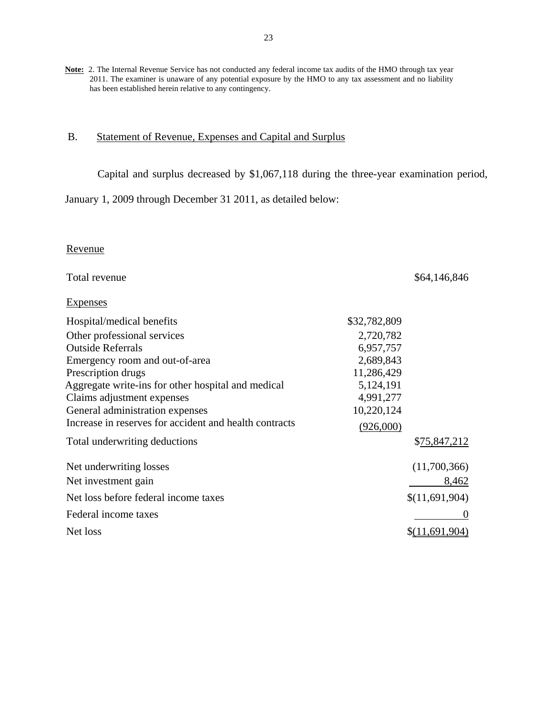<span id="page-24-0"></span>**Note:** 2. The Internal Revenue Service has not conducted any federal income tax audits of the HMO through tax year 2011. The examiner is unaware of any potential exposure by the HMO to any tax assessment and no liability has been established herein relative to any contingency.

### B. Statement of Revenue, Expenses and Capital and Surplus

Capital and surplus decreased by \$1,067,118 during the three-year examination period,

January 1, 2009 through December 31 2011, as detailed below:

### Revenue

| Total revenue                                          |              | \$64,146,846   |
|--------------------------------------------------------|--------------|----------------|
| <b>Expenses</b>                                        |              |                |
| Hospital/medical benefits                              | \$32,782,809 |                |
| Other professional services                            | 2,720,782    |                |
| <b>Outside Referrals</b>                               | 6,957,757    |                |
| Emergency room and out-of-area                         | 2,689,843    |                |
| Prescription drugs                                     | 11,286,429   |                |
| Aggregate write-ins for other hospital and medical     | 5,124,191    |                |
| Claims adjustment expenses                             | 4,991,277    |                |
| General administration expenses                        | 10,220,124   |                |
| Increase in reserves for accident and health contracts | (926,000)    |                |
| Total underwriting deductions                          |              | \$75,847,212   |
| Net underwriting losses                                |              | (11,700,366)   |
| Net investment gain                                    |              | 8,462          |
| Net loss before federal income taxes                   |              | \$(11,691,904) |
| Federal income taxes                                   |              | $\theta$       |
| Net loss                                               |              | \$(11,691,904) |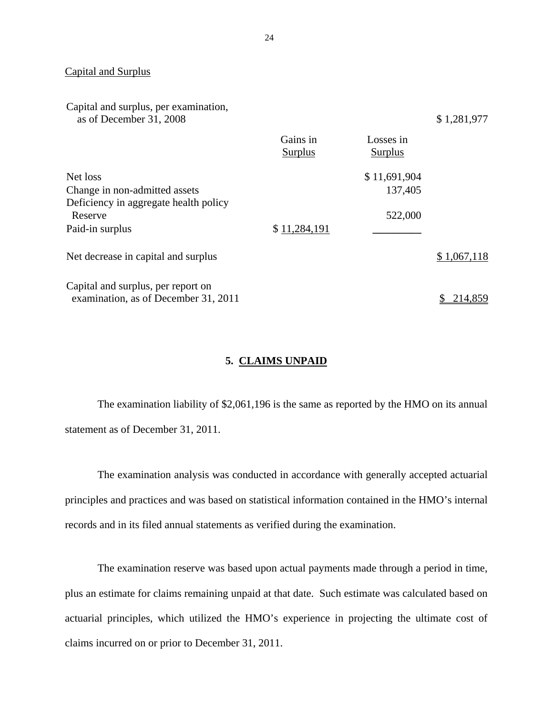### Capital and Surplus

| Capital and surplus, per examination,<br>as of December 31, 2008           |                     |                      | \$1,281,977 |
|----------------------------------------------------------------------------|---------------------|----------------------|-------------|
|                                                                            | Gains in<br>Surplus | Losses in<br>Surplus |             |
| Net loss                                                                   |                     | \$11,691,904         |             |
| Change in non-admitted assets                                              |                     | 137,405              |             |
| Deficiency in aggregate health policy<br>Reserve                           |                     | 522,000              |             |
| Paid-in surplus                                                            | \$11,284,191        |                      |             |
| Net decrease in capital and surplus                                        |                     |                      | \$1,067,118 |
| Capital and surplus, per report on<br>examination, as of December 31, 2011 |                     |                      | 214,859     |
|                                                                            |                     |                      |             |

### **5. CLAIMS UNPAID**

The examination liability of \$2,061,196 is the same as reported by the HMO on its annual statement as of December 31, 2011.

The examination analysis was conducted in accordance with generally accepted actuarial principles and practices and was based on statistical information contained in the HMO's internal records and in its filed annual statements as verified during the examination.

The examination reserve was based upon actual payments made through a period in time, plus an estimate for claims remaining unpaid at that date. Such estimate was calculated based on actuarial principles, which utilized the HMO's experience in projecting the ultimate cost of claims incurred on or prior to December 31, 2011.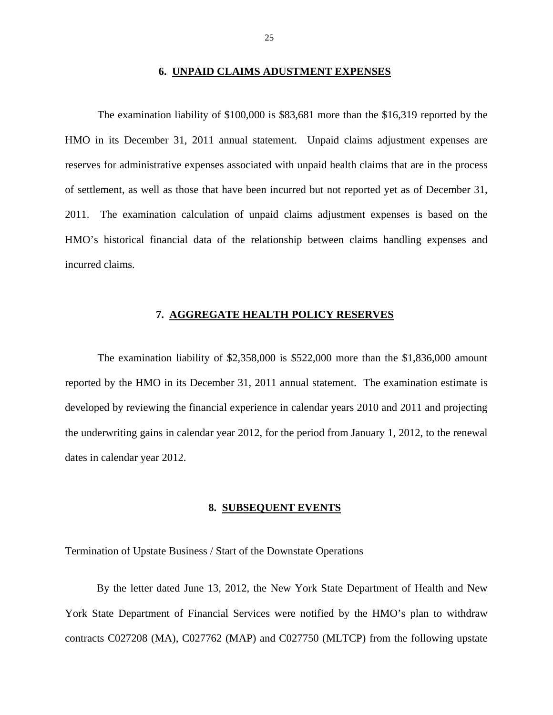### **6. UNPAID CLAIMS ADUSTMENT EXPENSES**

<span id="page-26-0"></span>The examination liability of \$100,000 is \$83,681 more than the \$16,319 reported by the HMO in its December 31, 2011 annual statement. Unpaid claims adjustment expenses are reserves for administrative expenses associated with unpaid health claims that are in the process of settlement, as well as those that have been incurred but not reported yet as of December 31, 2011. The examination calculation of unpaid claims adjustment expenses is based on the HMO's historical financial data of the relationship between claims handling expenses and incurred claims.

### **7. AGGREGATE HEALTH POLICY RESERVES**

The examination liability of \$2,358,000 is \$522,000 more than the \$1,836,000 amount reported by the HMO in its December 31, 2011 annual statement. The examination estimate is developed by reviewing the financial experience in calendar years 2010 and 2011 and projecting the underwriting gains in calendar year 2012, for the period from January 1, 2012, to the renewal dates in calendar year 2012.

### **8. SUBSEQUENT EVENTS**

### Termination of Upstate Business / Start of the Downstate Operations

By the letter dated June 13, 2012, the New York State Department of Health and New York State Department of Financial Services were notified by the HMO's plan to withdraw contracts C027208 (MA), C027762 (MAP) and C027750 (MLTCP) from the following upstate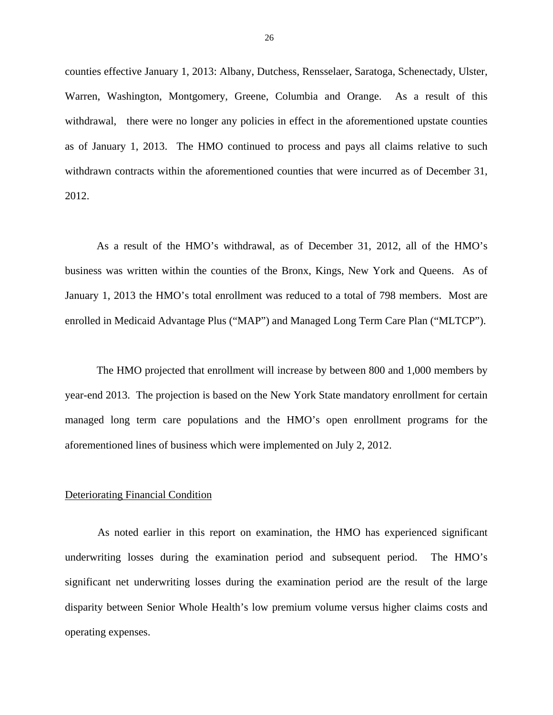counties effective January 1, 2013: Albany, Dutchess, Rensselaer, Saratoga, Schenectady, Ulster, Warren, Washington, Montgomery, Greene, Columbia and Orange. As a result of this withdrawal, there were no longer any policies in effect in the aforementioned upstate counties as of January 1, 2013. The HMO continued to process and pays all claims relative to such withdrawn contracts within the aforementioned counties that were incurred as of December 31, 2012.

As a result of the HMO's withdrawal, as of December 31, 2012, all of the HMO's business was written within the counties of the Bronx, Kings, New York and Queens. As of January 1, 2013 the HMO's total enrollment was reduced to a total of 798 members. Most are enrolled in Medicaid Advantage Plus ("MAP") and Managed Long Term Care Plan ("MLTCP").

The HMO projected that enrollment will increase by between 800 and 1,000 members by year-end 2013. The projection is based on the New York State mandatory enrollment for certain managed long term care populations and the HMO's open enrollment programs for the aforementioned lines of business which were implemented on July 2, 2012.

### Deteriorating Financial Condition

As noted earlier in this report on examination, the HMO has experienced significant underwriting losses during the examination period and subsequent period. The HMO's significant net underwriting losses during the examination period are the result of the large disparity between Senior Whole Health's low premium volume versus higher claims costs and operating expenses.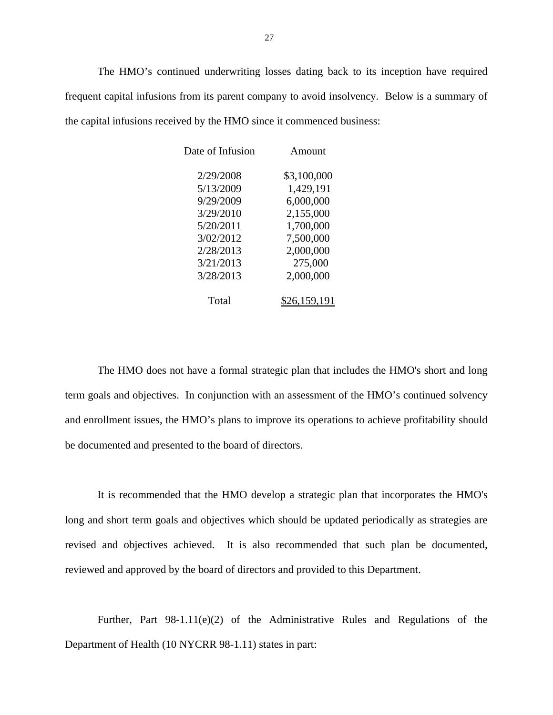The HMO's continued underwriting losses dating back to its inception have required frequent capital infusions from its parent company to avoid insolvency. Below is a summary of the capital infusions received by the HMO since it commenced business:

| Date of Infusion | Amount       |
|------------------|--------------|
| 2/29/2008        | \$3,100,000  |
| 5/13/2009        | 1,429,191    |
| 9/29/2009        | 6,000,000    |
| 3/29/2010        | 2,155,000    |
| 5/20/2011        | 1,700,000    |
| 3/02/2012        | 7,500,000    |
| 2/28/2013        | 2,000,000    |
| 3/21/2013        | 275,000      |
| 3/28/2013        | 2,000,000    |
| Total            | \$26,159,191 |

The HMO does not have a formal strategic plan that includes the HMO's short and long term goals and objectives. In conjunction with an assessment of the HMO's continued solvency and enrollment issues, the HMO's plans to improve its operations to achieve profitability should be documented and presented to the board of directors.

It is recommended that the HMO develop a strategic plan that incorporates the HMO's long and short term goals and objectives which should be updated periodically as strategies are revised and objectives achieved. It is also recommended that such plan be documented, reviewed and approved by the board of directors and provided to this Department.

Further, Part 98-1.11(e)(2) of the Administrative Rules and Regulations of the Department of Health (10 NYCRR 98-1.11) states in part: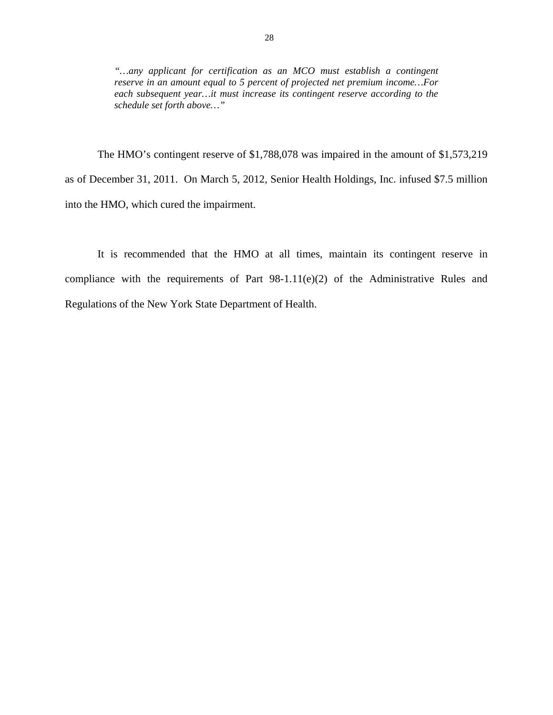*"…any applicant for certification as an MCO must establish a contingent reserve in an amount equal to 5 percent of projected net premium income…For each subsequent year…it must increase its contingent reserve according to the schedule set forth above…"* 

The HMO's contingent reserve of \$1,788,078 was impaired in the amount of \$1,573,219 as of December 31, 2011. On March 5, 2012, Senior Health Holdings, Inc. infused \$7.5 million into the HMO, which cured the impairment.

It is recommended that the HMO at all times, maintain its contingent reserve in compliance with the requirements of Part  $98-1.11(e)(2)$  of the Administrative Rules and Regulations of the New York State Department of Health.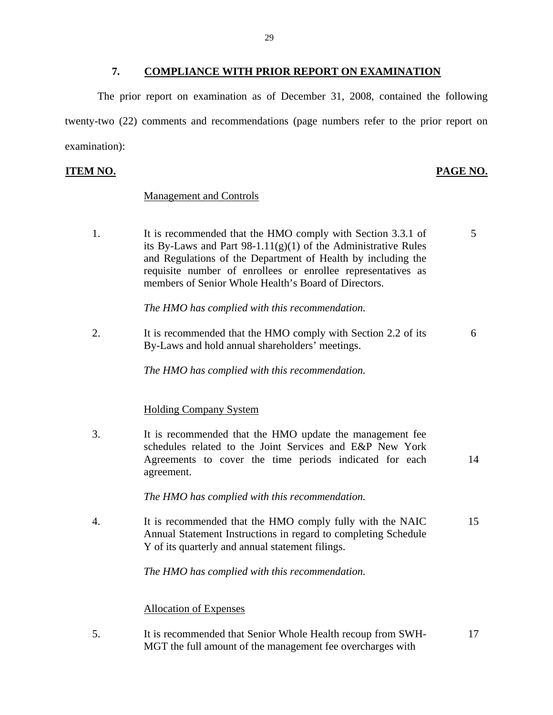### **7. COMPLIANCE WITH PRIOR REPORT ON EXAMINATION**

<span id="page-30-0"></span>The prior report on examination as of December 31, 2008, contained the following twenty-two (22) comments and recommendations (page numbers refer to the prior report on examination):

### **ITEM NO. PAGE NO. PAGE NO.**

### Management and Controls

1. It is recommended that the HMO comply with Section 3.3.1 of 5 its By-Laws and Part  $98-1.11(g)(1)$  of the Administrative Rules and Regulations of the Department of Health by including the requisite number of enrollees or enrollee representatives as members of Senior Whole Health's Board of Directors.

*The HMO has complied with this recommendation.* 

2. It is recommended that the HMO comply with Section 2.2 of its 6 By-Laws and hold annual shareholders' meetings.

*The HMO has complied with this recommendation.* 

### Holding Company System

3. It is recommended that the HMO update the management fee schedules related to the Joint Services and E&P New York Agreements to cover the time periods indicated for each 14 agreement.

*The HMO has complied with this recommendation.* 

4. It is recommended that the HMO comply fully with the NAIC 15 Annual Statement Instructions in regard to completing Schedule Y of its quarterly and annual statement filings.

*The HMO has complied with this recommendation.* 

### Allocation of Expenses

5. It is recommended that Senior Whole Health recoup from SWH- 17 MGT the full amount of the management fee overcharges with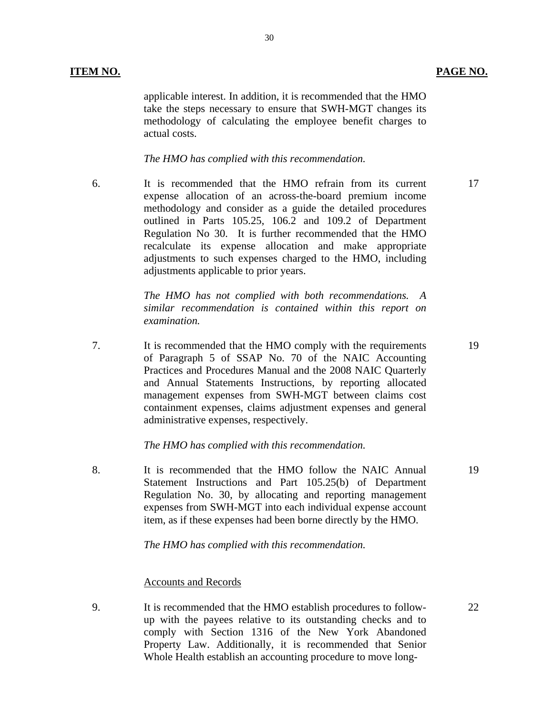applicable interest. In addition, it is recommended that the HMO take the steps necessary to ensure that SWH-MGT changes its methodology of calculating the employee benefit charges to actual costs.

30

### *The HMO has complied with this recommendation.*

6. It is recommended that the HMO refrain from its current expense allocation of an across-the-board premium income methodology and consider as a guide the detailed procedures outlined in Parts 105.25, 106.2 and 109.2 of Department Regulation No 30. It is further recommended that the HMO recalculate its expense allocation and make appropriate adjustments to such expenses charged to the HMO, including adjustments applicable to prior years.

> *The HMO has not complied with both recommendations. A similar recommendation is contained within this report on examination.*

7. It is recommended that the HMO comply with the requirements of Paragraph 5 of SSAP No. 70 of the NAIC Accounting Practices and Procedures Manual and the 2008 NAIC Quarterly and Annual Statements Instructions, by reporting allocated management expenses from SWH-MGT between claims cost containment expenses, claims adjustment expenses and general administrative expenses, respectively.

### *The HMO has complied with this recommendation.*

8. It is recommended that the HMO follow the NAIC Annual Statement Instructions and Part 105.25(b) of Department Regulation No. 30, by allocating and reporting management expenses from SWH-MGT into each individual expense account item, as if these expenses had been borne directly by the HMO.

*The HMO has complied with this recommendation.* 

### Accounts and Records

9. It is recommended that the HMO establish procedures to followup with the payees relative to its outstanding checks and to comply with Section 1316 of the New York Abandoned Property Law. Additionally, it is recommended that Senior Whole Health establish an accounting procedure to move long-

17

19

22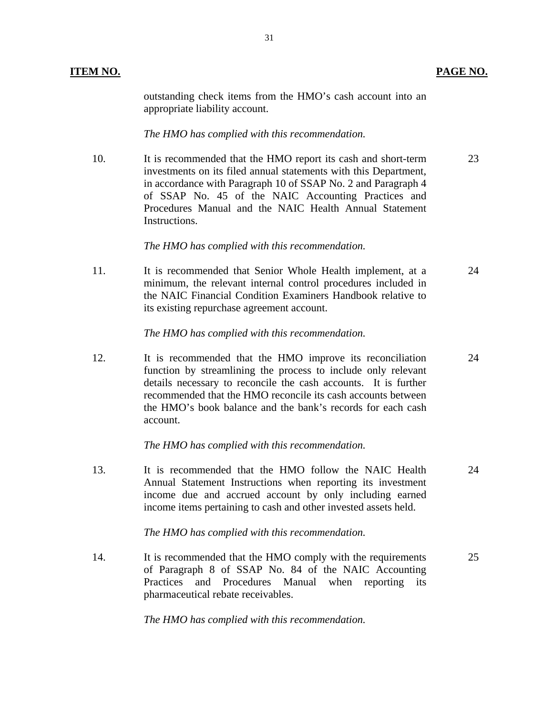outstanding check items from the HMO's cash account into an appropriate liability account.

### *The HMO has complied with this recommendation.*

10. It is recommended that the HMO report its cash and short-term 23 investments on its filed annual statements with this Department, in accordance with Paragraph 10 of SSAP No. 2 and Paragraph 4 of SSAP No. 45 of the NAIC Accounting Practices and Procedures Manual and the NAIC Health Annual Statement Instructions.

### *The HMO has complied with this recommendation.*

11. It is recommended that Senior Whole Health implement, at a 24 minimum, the relevant internal control procedures included in the NAIC Financial Condition Examiners Handbook relative to its existing repurchase agreement account.

### *The HMO has complied with this recommendation.*

12. It is recommended that the HMO improve its reconciliation 24 function by streamlining the process to include only relevant details necessary to reconcile the cash accounts. It is further recommended that the HMO reconcile its cash accounts between the HMO's book balance and the bank's records for each cash account.

### *The HMO has complied with this recommendation.*

13. It is recommended that the HMO follow the NAIC Health 24 Annual Statement Instructions when reporting its investment income due and accrued account by only including earned income items pertaining to cash and other invested assets held.

### *The HMO has complied with this recommendation.*

14. It is recommended that the HMO comply with the requirements 25 of Paragraph 8 of SSAP No. 84 of the NAIC Accounting Practices and Procedures Manual when reporting its pharmaceutical rebate receivables.

*The HMO has complied with this recommendation.*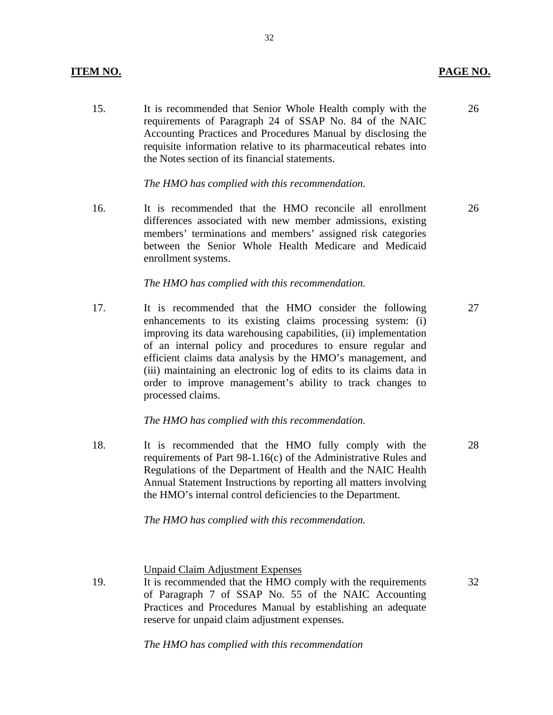15. It is recommended that Senior Whole Health comply with the requirements of Paragraph 24 of SSAP No. 84 of the NAIC Accounting Practices and Procedures Manual by disclosing the requisite information relative to its pharmaceutical rebates into the Notes section of its financial statements.

*The HMO has complied with this recommendation.* 

16. It is recommended that the HMO reconcile all enrollment differences associated with new member admissions, existing members' terminations and members' assigned risk categories between the Senior Whole Health Medicare and Medicaid enrollment systems. 26

### *The HMO has complied with this recommendation.*

17. It is recommended that the HMO consider the following enhancements to its existing claims processing system: (i) improving its data warehousing capabilities, (ii) implementation of an internal policy and procedures to ensure regular and efficient claims data analysis by the HMO's management, and (iii) maintaining an electronic log of edits to its claims data in order to improve management's ability to track changes to processed claims.

### *The HMO has complied with this recommendation.*

18. It is recommended that the HMO fully comply with the requirements of Part 98-1.16(c) of the Administrative Rules and Regulations of the Department of Health and the NAIC Health Annual Statement Instructions by reporting all matters involving the HMO's internal control deficiencies to the Department.

*The HMO has complied with this recommendation.* 

Unpaid Claim Adjustment Expenses

19. It is recommended that the HMO comply with the requirements of Paragraph 7 of SSAP No. 55 of the NAIC Accounting Practices and Procedures Manual by establishing an adequate reserve for unpaid claim adjustment expenses.

*The HMO has complied with this recommendation* 

26

27

32

28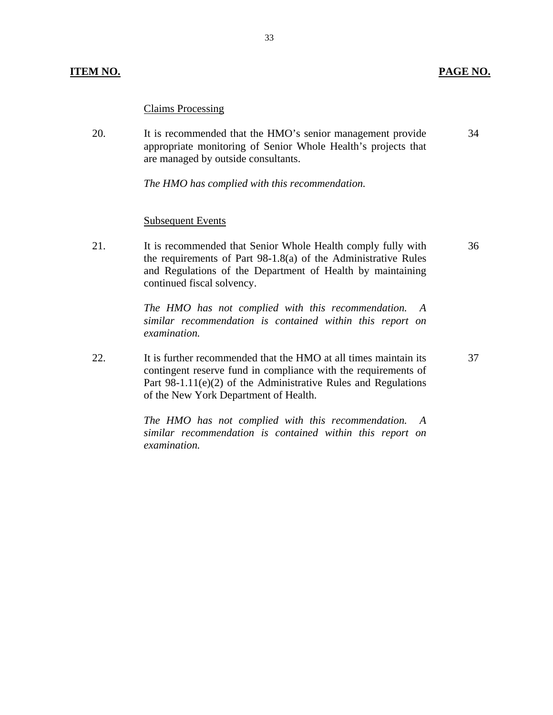### Claims Processing

20. It is recommended that the HMO's senior management provide appropriate monitoring of Senior Whole Health's projects that are managed by outside consultants. 34

*The HMO has complied with this recommendation.* 

### **Subsequent Events**

21. It is recommended that Senior Whole Health comply fully with the requirements of Part 98-1.8(a) of the Administrative Rules and Regulations of the Department of Health by maintaining continued fiscal solvency.

> *The HMO has not complied with this recommendation. similar recommendation is contained within this report on examination. A*

22. It is further recommended that the HMO at all times maintain its contingent reserve fund in compliance with the requirements of Part 98-1.11(e)(2) of the Administrative Rules and Regulations of the New York Department of Health.

> *The HMO has not complied with this recommendation. similar recommendation is contained within this report on examination. A*

36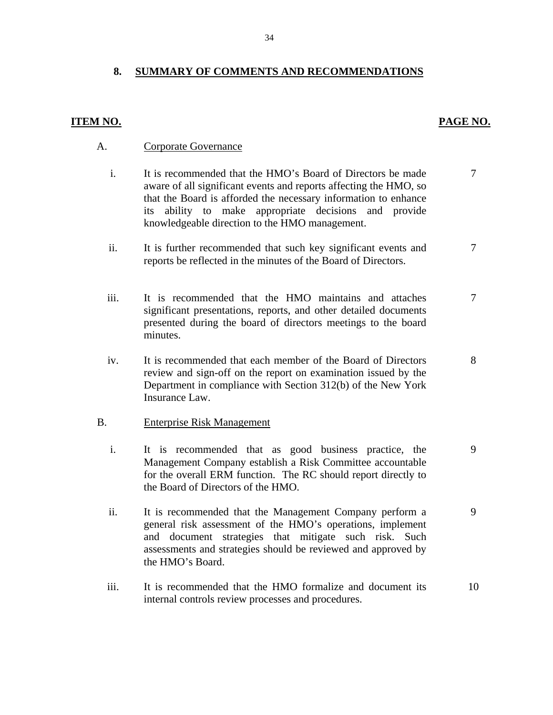### **8. SUMMARY OF COMMENTS AND RECOMMENDATIONS**

### **ITEM NO. PAGE NO. PAGE NO.**

7

7

7

8

9

9

- A. Corporate Governance
	- i. It is recommended that the HMO's Board of Directors be made aware of all significant events and reports affecting the HMO, so that the Board is afforded the necessary information to enhance its ability to make appropriate decisions and provide knowledgeable direction to the HMO management.
	- ii. It is further recommended that such key significant events and reports be reflected in the minutes of the Board of Directors.
	- iii. It is recommended that the HMO maintains and attaches significant presentations, reports, and other detailed documents presented during the board of directors meetings to the board minutes.
	- iv. It is recommended that each member of the Board of Directors review and sign-off on the report on examination issued by the Department in compliance with Section 312(b) of the New York Insurance Law.

### B. Enterprise Risk Management

- i. It is recommended that as good business practice, the Management Company establish a Risk Committee accountable for the overall ERM function. The RC should report directly to the Board of Directors of the HMO.
- ii. It is recommended that the Management Company perform a general risk assessment of the HMO's operations, implement and document strategies that mitigate such risk. Such assessments and strategies should be reviewed and approved by the HMO's Board.
- iii. It is recommended that the HMO formalize and document its internal controls review processes and procedures. 10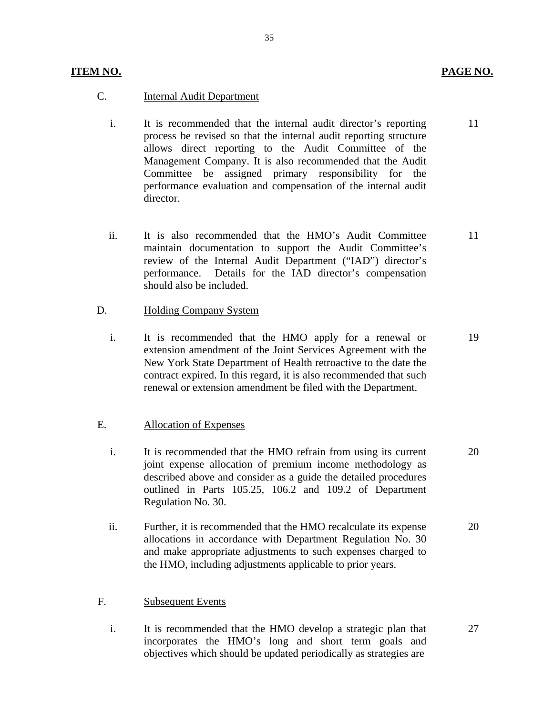11

27

- C. Internal Audit Department
	- i. It is recommended that the internal audit director's reporting process be revised so that the internal audit reporting structure allows direct reporting to the Audit Committee of the Management Company. It is also recommended that the Audit Committee be assigned primary responsibility for the performance evaluation and compensation of the internal audit director.
	- ii. It is also recommended that the HMO's Audit Committee maintain documentation to support the Audit Committee's review of the Internal Audit Department ("IAD") director's performance. Details for the IAD director's compensation should also be included. 11
- D. Holding Company System
	- i. It is recommended that the HMO apply for a renewal or extension amendment of the Joint Services Agreement with the New York State Department of Health retroactive to the date the contract expired. In this regard, it is also recommended that such renewal or extension amendment be filed with the Department. 19

### E. Allocation of Expenses

- i. It is recommended that the HMO refrain from using its current joint expense allocation of premium income methodology as described above and consider as a guide the detailed procedures outlined in Parts 105.25, 106.2 and 109.2 of Department Regulation No. 30. 20
- ii. Further, it is recommended that the HMO recalculate its expense allocations in accordance with Department Regulation No. 30 and make appropriate adjustments to such expenses charged to the HMO, including adjustments applicable to prior years. 20

### F. Subsequent Events

i. It is recommended that the HMO develop a strategic plan that incorporates the HMO's long and short term goals and objectives which should be updated periodically as strategies are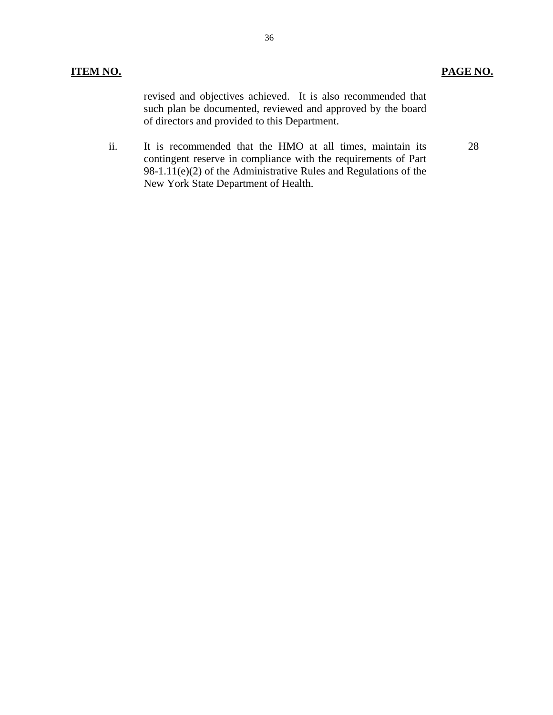revised and objectives achieved. It is also recommended that such plan be documented, reviewed and approved by the board of directors and provided to this Department.

ii. It is recommended that the HMO at all times, maintain its contingent reserve in compliance with the requirements of Part 98-1.11(e)(2) of the Administrative Rules and Regulations of the New York State Department of Health.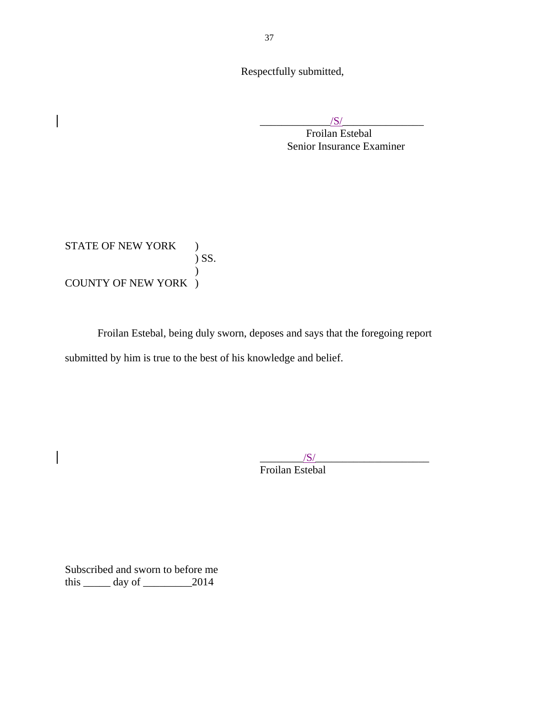Respectfully submitted,

 $\frac{|S|}{|S|}$ 

Froilan Estebal Senior Insurance Examiner

STATE OF NEW YORK ) ) SS. ) COUNTY OF NEW YORK )

Froilan Estebal, being duly sworn, deposes and says that the foregoing report submitted by him is true to the best of his knowledge and belief.

> $\frac{1}{\sqrt{S}}$ Froilan Estebal

Subscribed and sworn to before me this  $\_\_\_\$  day of  $\_\_\_\_\_2$  2014